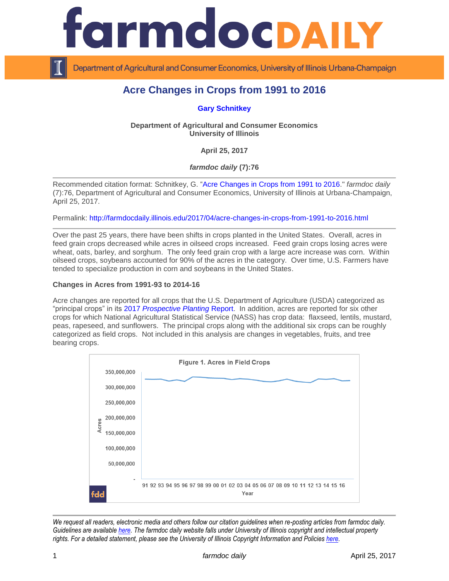

Department of Agricultural and Consumer Economics, University of Illinois Urbana-Champaign

# **Acre Changes in Crops from 1991 to 2016**

**[Gary Schnitkey](http://farmdoc.illinois.edu/schnitkey)**

**Department of Agricultural and Consumer Economics University of Illinois**

**April 25, 2017**

*farmdoc daily* **(7):76**

Recommended citation format: Schnitkey, G. ["Acre Changes in Crops from 1991 to 2016.](http://farmdocdaily.illinois.edu/2017/04/acre-changes-in-crops-from-1991-to-2016.html)" *farmdoc daily* (7):76, Department of Agricultural and Consumer Economics, University of Illinois at Urbana-Champaign, April 25, 2017.

Permalink: <http://farmdocdaily.illinois.edu/2017/04/acre-changes-in-crops-from-1991-to-2016.html>

Over the past 25 years, there have been shifts in crops planted in the United States. Overall, acres in feed grain crops decreased while acres in oilseed crops increased. Feed grain crops losing acres were wheat, oats, barley, and sorghum. The only feed grain crop with a large acre increase was corn. Within oilseed crops, soybeans accounted for 90% of the acres in the category. Over time, U.S. Farmers have tended to specialize production in corn and soybeans in the United States.

## **Changes in Acres from 1991-93 to 2014-16**

Acre changes are reported for all crops that the U.S. Department of Agriculture (USDA) categorized as "principal crops" in its 2017 *[Prospective Planting](http://usda.mannlib.cornell.edu/usda/nass/ProsPlan/2010s/2017/ProsPlan-03-31-2017.pdf)* Report. In addition, acres are reported for six other crops for which National Agricultural Statistical Service (NASS) has crop data: flaxseed, lentils, mustard, peas, rapeseed, and sunflowers. The principal crops along with the additional six crops can be roughly categorized as field crops. Not included in this analysis are changes in vegetables, fruits, and tree bearing crops.



*We request all readers, electronic media and others follow our citation guidelines when re-posting articles from farmdoc daily. Guidelines are available [here.](http://farmdocdaily.illinois.edu/citationguide.html) The farmdoc daily website falls under University of Illinois copyright and intellectual property rights. For a detailed statement, please see the University of Illinois Copyright Information and Policies [here.](http://www.cio.illinois.edu/policies/copyright/)*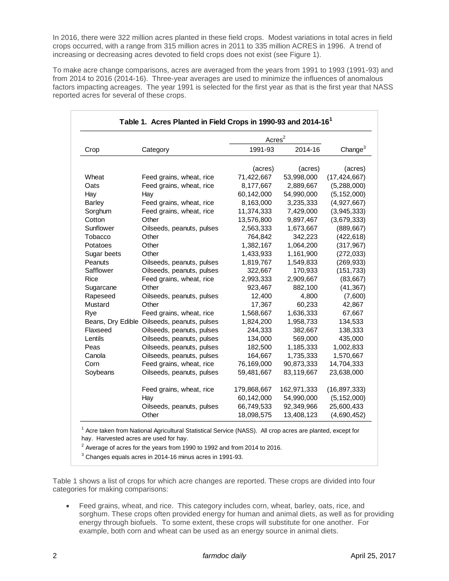In 2016, there were 322 million acres planted in these field crops. Modest variations in total acres in field crops occurred, with a range from 315 million acres in 2011 to 335 million ACRES in 1996. A trend of increasing or decreasing acres devoted to field crops does not exist (see Figure 1).

To make acre change comparisons, acres are averaged from the years from 1991 to 1993 (1991-93) and from 2014 to 2016 (2014-16). Three-year averages are used to minimize the influences of anomalous factors impacting acreages. The year 1991 is selected for the first year as that is the first year that NASS reported acres for several of these crops.

| 1991-93<br>(acres)<br>71,422,667<br>8,177,667<br>60,142,000<br>8,163,000<br>11,374,333<br>13,576,800<br>2,563,333<br>764,842<br>1,382,167<br>1,433,933<br>1,819,767<br>322,667<br>2,993,333<br>923,467 | 2014-16<br>(acres)<br>53,998,000<br>2,889,667<br>54,990,000<br>3,235,333<br>7,429,000<br>9,897,467<br>1,673,667<br>342,223<br>1,064,200<br>1,161,900<br>1,549,833<br>170,933 | Change <sup>3</sup><br>(acres)<br>(17, 424, 667)<br>(5,288,000)<br>(5, 152, 000)<br>(4,927,667)<br>(3,945,333)<br>(3,679,333)<br>(889, 667)<br>(422, 618)<br>(317, 967)<br>(272, 033)<br>(269, 933)<br>(151, 733) |
|--------------------------------------------------------------------------------------------------------------------------------------------------------------------------------------------------------|------------------------------------------------------------------------------------------------------------------------------------------------------------------------------|-------------------------------------------------------------------------------------------------------------------------------------------------------------------------------------------------------------------|
|                                                                                                                                                                                                        |                                                                                                                                                                              |                                                                                                                                                                                                                   |
|                                                                                                                                                                                                        |                                                                                                                                                                              |                                                                                                                                                                                                                   |
|                                                                                                                                                                                                        |                                                                                                                                                                              |                                                                                                                                                                                                                   |
|                                                                                                                                                                                                        |                                                                                                                                                                              |                                                                                                                                                                                                                   |
|                                                                                                                                                                                                        |                                                                                                                                                                              |                                                                                                                                                                                                                   |
|                                                                                                                                                                                                        |                                                                                                                                                                              |                                                                                                                                                                                                                   |
|                                                                                                                                                                                                        |                                                                                                                                                                              |                                                                                                                                                                                                                   |
|                                                                                                                                                                                                        |                                                                                                                                                                              |                                                                                                                                                                                                                   |
|                                                                                                                                                                                                        |                                                                                                                                                                              |                                                                                                                                                                                                                   |
|                                                                                                                                                                                                        |                                                                                                                                                                              |                                                                                                                                                                                                                   |
|                                                                                                                                                                                                        |                                                                                                                                                                              |                                                                                                                                                                                                                   |
|                                                                                                                                                                                                        |                                                                                                                                                                              |                                                                                                                                                                                                                   |
|                                                                                                                                                                                                        |                                                                                                                                                                              |                                                                                                                                                                                                                   |
|                                                                                                                                                                                                        |                                                                                                                                                                              |                                                                                                                                                                                                                   |
|                                                                                                                                                                                                        | 2,909,667                                                                                                                                                                    | (83, 667)                                                                                                                                                                                                         |
|                                                                                                                                                                                                        | 882,100                                                                                                                                                                      | (41, 367)                                                                                                                                                                                                         |
| 12,400                                                                                                                                                                                                 | 4,800                                                                                                                                                                        | (7,600)                                                                                                                                                                                                           |
| 17,367                                                                                                                                                                                                 | 60,233                                                                                                                                                                       | 42,867                                                                                                                                                                                                            |
| 1,568,667                                                                                                                                                                                              | 1,636,333                                                                                                                                                                    | 67,667                                                                                                                                                                                                            |
|                                                                                                                                                                                                        | 1,958,733                                                                                                                                                                    | 134,533                                                                                                                                                                                                           |
|                                                                                                                                                                                                        | 382,667                                                                                                                                                                      | 138,333                                                                                                                                                                                                           |
|                                                                                                                                                                                                        | 569,000                                                                                                                                                                      | 435,000                                                                                                                                                                                                           |
|                                                                                                                                                                                                        | 1,185,333                                                                                                                                                                    | 1,002,833                                                                                                                                                                                                         |
|                                                                                                                                                                                                        | 1,735,333                                                                                                                                                                    | 1,570,667                                                                                                                                                                                                         |
|                                                                                                                                                                                                        | 90,873,333                                                                                                                                                                   | 14,704,333                                                                                                                                                                                                        |
|                                                                                                                                                                                                        | 83,119,667                                                                                                                                                                   | 23,638,000                                                                                                                                                                                                        |
|                                                                                                                                                                                                        | 162,971,333                                                                                                                                                                  | (16, 897, 333)                                                                                                                                                                                                    |
|                                                                                                                                                                                                        |                                                                                                                                                                              | (5, 152, 000)                                                                                                                                                                                                     |
|                                                                                                                                                                                                        |                                                                                                                                                                              | 25,600,433                                                                                                                                                                                                        |
|                                                                                                                                                                                                        | 13,408,123                                                                                                                                                                   | (4,690,452)                                                                                                                                                                                                       |
|                                                                                                                                                                                                        | 1,824,200<br>244,333<br>134,000<br>182,500<br>164,667<br>76,169,000<br>59,481,667<br>179,868,667<br>60,142,000<br>66,749,533<br>18,098,575                                   | 54,990,000<br>92,349,966<br><sup>1</sup> Acre taken from National Agricultural Statistical Service (NASS). All crop acres are planted, except for                                                                 |

Table 1 shows a list of crops for which acre changes are reported. These crops are divided into four categories for making comparisons:

 Feed grains, wheat, and rice. This category includes corn, wheat, barley, oats, rice, and sorghum. These crops often provided energy for human and animal diets, as well as for providing energy through biofuels. To some extent, these crops will substitute for one another. For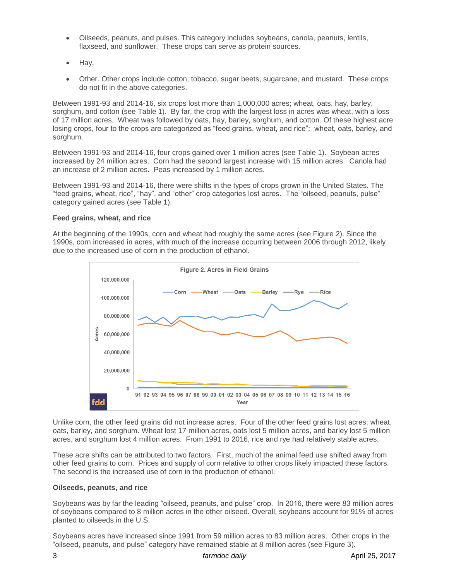- Oilseeds, peanuts, and pulses. This category includes soybeans, canola, peanuts, lentils, flaxseed, and sunflower. These crops can serve as protein sources.
- $\bullet$  Hay.
- Other. Other crops include cotton, tobacco, sugar beets, sugarcane, and mustard. These crops do not fit in the above categories.

Between 1991-93 and 2014-16, six crops lost more than 1,000,000 acres; wheat, oats, hay, barley, sorghum, and cotton (see Table 1). By far, the crop with the largest loss in acres was wheat, with a loss of 17 million acres. Wheat was followed by oats, hay, barley, sorghum, and cotton. Of these highest acre losing crops, four to the crops are categorized as "feed grains, wheat, and rice": wheat, oats, barley, and sorghum.

Between 1991-93 and 2014-16, four crops gained over 1 million acres (see Table 1). Soybean acres increased by 24 million acres. Corn had the second largest increase with 15 million acres. Canola had an increase of 2 million acres. Peas increased by 1 million acres.

Between 1991-93 and 2014-16, there were shifts in the types of crops grown in the United States. The "feed grains, wheat, rice", "hay", and "other" crop categories lost acres. The "oilseed, peanuts, pulse" category gained acres (see Table 1).

#### **Feed grains, wheat, and rice**

At the beginning of the 1990s, corn and wheat had roughly the same acres (see Figure 2). Since the 1990s, corn increased in acres, with much of the increase occurring between 2006 through 2012, likely due to the increased use of corn in the production of ethanol.



Unlike corn, the other feed grains did not increase acres. Four of the other feed grains lost acres: wheat, oats, barley, and sorghum. Wheat lost 17 million acres, oats lost 5 million acres, and barley lost 5 million acres, and sorghum lost 4 million acres. From 1991 to 2016, rice and rye had relatively stable acres.

These acre shifts can be attributed to two factors. First, much of the animal feed use shifted away from other feed grains to corn. Prices and supply of corn relative to other crops likely impacted these factors. The second is the increased use of corn in the production of ethanol.

#### **Oilseeds, peanuts, and rice**

Soybeans was by far the leading "oilseed, peanuts, and pulse" crop. In 2016, there were 83 million acres of soybeans compared to 8 million acres in the other oilseed. Overall, soybeans account for 91% of acres planted to oilseeds in the U.S.

Soybeans acres have increased since 1991 from 59 million acres to 83 million acres. Other crops in the "oilseed, peanuts, and pulse" category have remained stable at 8 million acres (see Figure 3).